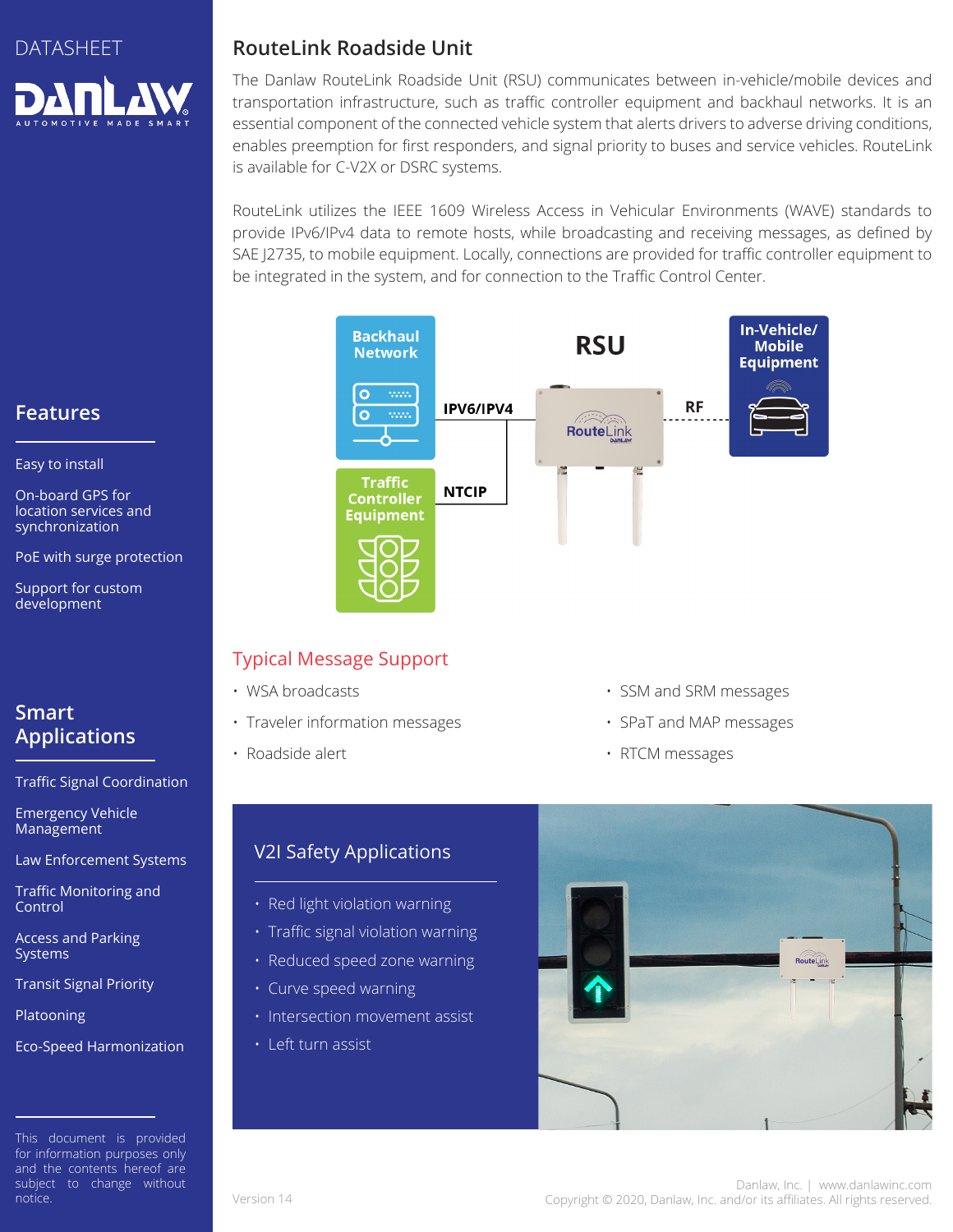

## **RouteLink Roadside Unit**

The Danlaw RouteLink Roadside Unit (RSU) communicates between in-vehicle/mobile devices and transportation infrastructure, such as traffic controller equipment and backhaul networks. It is an essential component of the connected vehicle system that alerts drivers to adverse driving conditions, enables preemption for first responders, and signal priority to buses and service vehicles. RouteLink is available for C-V2X or DSRC systems.

RouteLink utilizes the IEEE 1609 Wireless Access in Vehicular Environments (WAVE) standards to provide IPv6/IPv4 data to remote hosts, while broadcasting and receiving messages, as defined by SAE J2735, to mobile equipment. Locally, connections are provided for traffic controller equipment to be integrated in the system, and for connection to the Traffic Control Center.



## Typical Message Support

- WSA broadcasts
- Traveler information messages
- Roadside alert
- SSM and SRM messages
- SPaT and MAP messages
- RTCM messages

# V2I Safety Applications

- Red light violation warning
- Traffic signal violation warning
- Reduced speed zone warning
- Curve speed warning
- Intersection movement assist
- Left turn assist



# **Features**

Easy to install

On-board GPS for location services and synchronization

PoE with surge protection

Support for custom development

# **Smart Applications**

Traffic Signal Coordination

Emergency Vehicle Management

Law Enforcement Systems

Traffic Monitoring and Control

Access and Parking **Systems** 

Transit Signal Priority

Platooning

Eco-Speed Harmonization

This document is provided for information purposes only and the contents hereof are subject to change without notice.